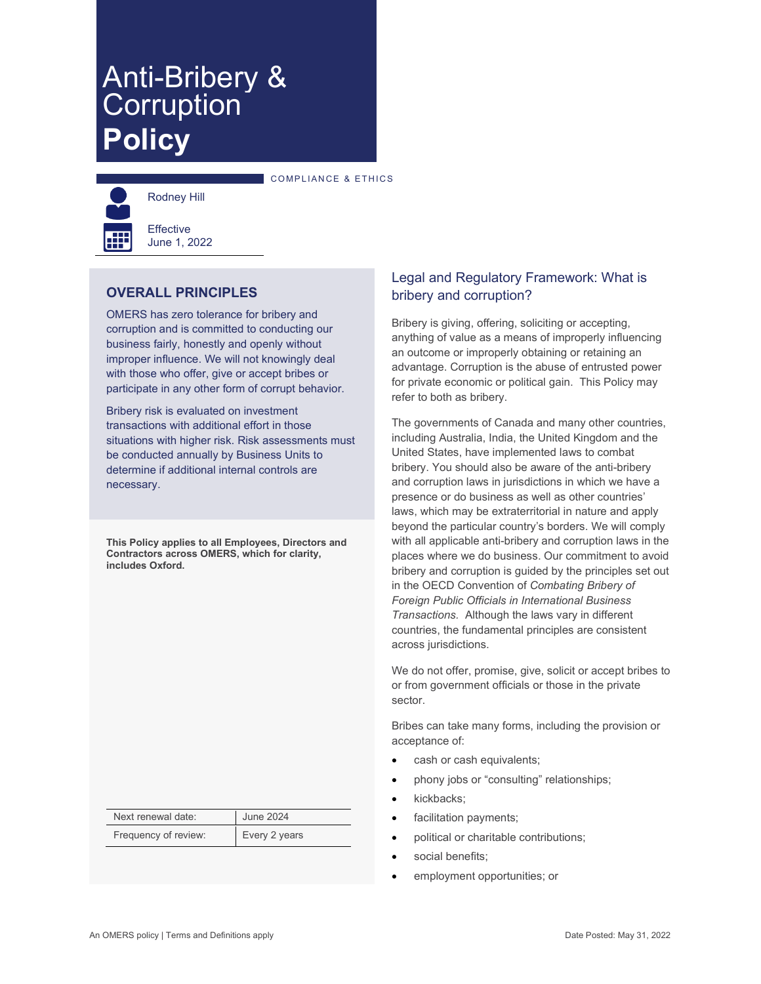# Anti-Bribery & **Policy**

COMPLIANCE & ETHICS



**Effective** June 1, 2022

Rodney Hill

## **OVERALL PRINCIPLES**

OMERS has zero tolerance for bribery and corruption and is committed to conducting our business fairly, honestly and openly without improper influence. We will not knowingly deal with those who offer, give or accept bribes or participate in any other form of corrupt behavior.

Bribery risk is evaluated on investment transactions with additional effort in those situations with higher risk. Risk assessments must be conducted annually by Business Units to determine if additional internal controls are necessary.

**This Policy applies to all Employees, Directors and Contractors across OMERS, which for clarity, includes Oxford.**

| Next renewal date:   | <b>June 2024</b> |  |
|----------------------|------------------|--|
| Frequency of review: | Every 2 years    |  |

## Legal and Regulatory Framework: What is bribery and corruption?

Bribery is giving, offering, soliciting or accepting, anything of value as a means of improperly influencing an outcome or improperly obtaining or retaining an advantage. Corruption is the abuse of entrusted power for private economic or political gain. This Policy may refer to both as bribery.

The governments of Canada and many other countries, including Australia, India, the United Kingdom and the United States, have implemented laws to combat bribery. You should also be aware of the anti-bribery and corruption laws in jurisdictions in which we have a presence or do business as well as other countries' laws, which may be extraterritorial in nature and apply beyond the particular country's borders. We will comply with all applicable anti-bribery and corruption laws in the places where we do business. Our commitment to avoid bribery and corruption is guided by the principles set out in the OECD Convention of *Combating Bribery of Foreign Public Officials in International Business Transactions.* Although the laws vary in different countries, the fundamental principles are consistent across jurisdictions.

We do not offer, promise, give, solicit or accept bribes to or from government officials or those in the private sector.

Bribes can take many forms, including the provision or acceptance of:

- cash or cash equivalents;
- phony jobs or "consulting" relationships;
- kickbacks;
- facilitation payments;
- political or charitable contributions;
- social benefits:
- employment opportunities; or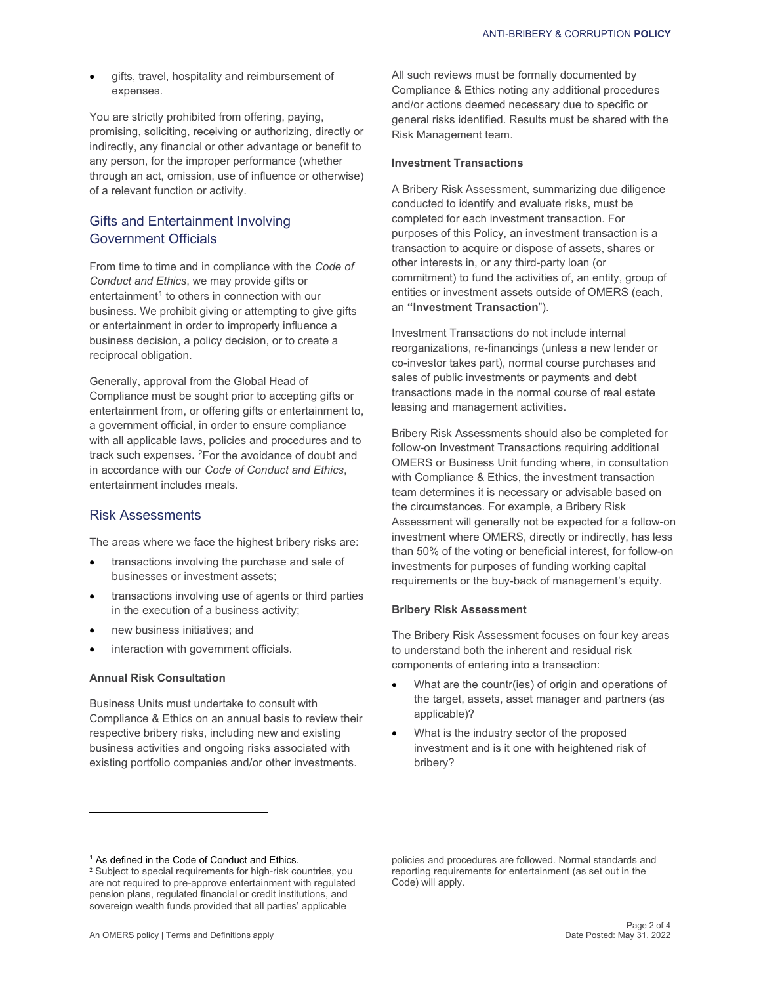gifts, travel, hospitality and reimbursement of expenses.

You are strictly prohibited from offering, paying, promising, soliciting, receiving or authorizing, directly or indirectly, any financial or other advantage or benefit to any person, for the improper performance (whether through an act, omission, use of influence or otherwise) of a relevant function or activity.

## Gifts and Entertainment Involving Government Officials

From time to time and in compliance with the *Code of Conduct and Ethics*, we may provide gifts or entertainment<sup>1</sup> to others in connection with our business. We prohibit giving or attempting to give gifts or entertainment in order to improperly influence a business decision, a policy decision, or to create a reciprocal obligation.

Generally, approval from the Global Head of Compliance must be sought prior to accepting gifts or entertainment from, or offering gifts or entertainment to, a government official, in order to ensure compliance with all applicable laws, policies and procedures and to track such expenses. 2For the avoidance of doubt and in accordance with our *Code of Conduct and Ethics*, entertainment includes meals.

#### Risk Assessments

The areas where we face the highest bribery risks are:

- transactions involving the purchase and sale of businesses or investment assets;
- transactions involving use of agents or third parties in the execution of a business activity;
- new business initiatives; and
- interaction with government officials.

#### **Annual Risk Consultation**

Business Units must undertake to consult with Compliance & Ethics on an annual basis to review their respective bribery risks, including new and existing business activities and ongoing risks associated with existing portfolio companies and/or other investments.

All such reviews must be formally documented by Compliance & Ethics noting any additional procedures and/or actions deemed necessary due to specific or general risks identified. Results must be shared with the Risk Management team.

#### **Investment Transactions**

A Bribery Risk Assessment, summarizing due diligence conducted to identify and evaluate risks, must be completed for each investment transaction. For purposes of this Policy, an investment transaction is a transaction to acquire or dispose of assets, shares or other interests in, or any third-party loan (or commitment) to fund the activities of, an entity, group of entities or investment assets outside of OMERS (each, an **"Investment Transaction**").

Investment Transactions do not include internal reorganizations, re-financings (unless a new lender or co-investor takes part), normal course purchases and sales of public investments or payments and debt transactions made in the normal course of real estate leasing and management activities.

Bribery Risk Assessments should also be completed for follow-on Investment Transactions requiring additional OMERS or Business Unit funding where, in consultation with Compliance & Ethics, the investment transaction team determines it is necessary or advisable based on the circumstances. For example, a Bribery Risk Assessment will generally not be expected for a follow-on investment where OMERS, directly or indirectly, has less than 50% of the voting or beneficial interest, for follow-on investments for purposes of funding working capital requirements or the buy-back of management's equity.

#### **Bribery Risk Assessment**

The Bribery Risk Assessment focuses on four key areas to understand both the inherent and residual risk components of entering into a transaction:

- What are the countr(ies) of origin and operations of the target, assets, asset manager and partners (as applicable)?
- What is the industry sector of the proposed investment and is it one with heightened risk of bribery?

<sup>&</sup>lt;sup>1</sup> As defined in the Code of Conduct and Ethics.

<sup>2</sup> Subject to special requirements for high-risk countries, you are not required to pre-approve entertainment with regulated pension plans, regulated financial or credit institutions, and sovereign wealth funds provided that all parties' applicable

policies and procedures are followed. Normal standards and reporting requirements for entertainment (as set out in the Code) will apply.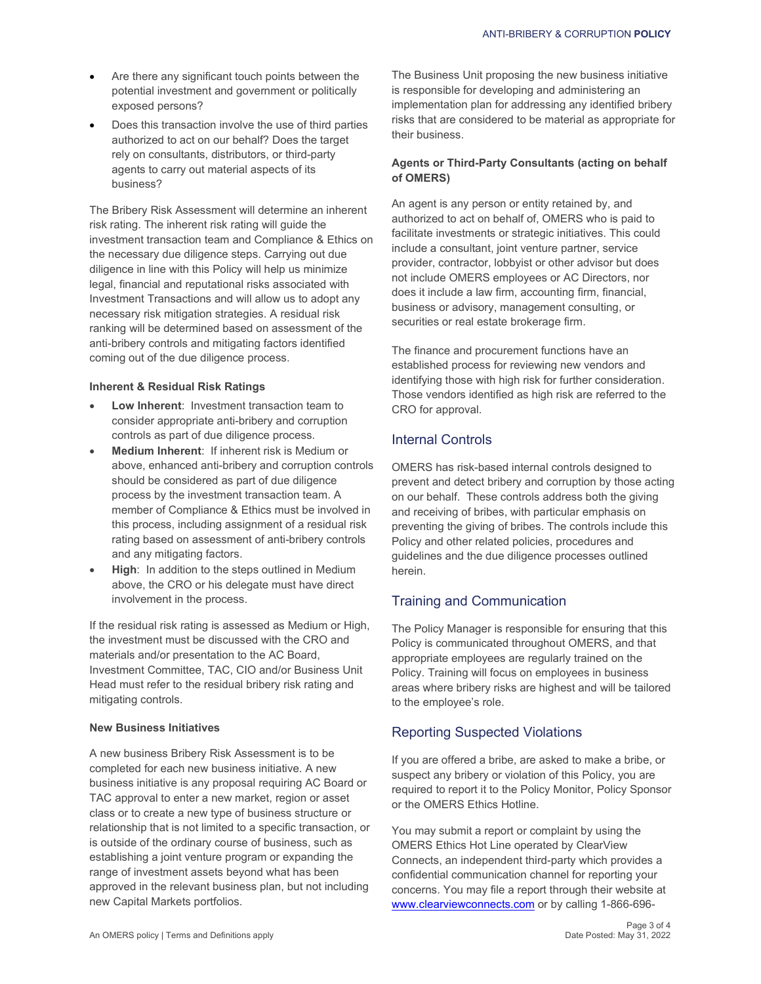- Are there any significant touch points between the potential investment and government or politically exposed persons?
- Does this transaction involve the use of third parties authorized to act on our behalf? Does the target rely on consultants, distributors, or third-party agents to carry out material aspects of its business?

The Bribery Risk Assessment will determine an inherent risk rating. The inherent risk rating will guide the investment transaction team and Compliance & Ethics on the necessary due diligence steps. Carrying out due diligence in line with this Policy will help us minimize legal, financial and reputational risks associated with Investment Transactions and will allow us to adopt any necessary risk mitigation strategies. A residual risk ranking will be determined based on assessment of the anti-bribery controls and mitigating factors identified coming out of the due diligence process.

#### **Inherent & Residual Risk Ratings**

- **Low Inherent: Investment transaction team to** consider appropriate anti-bribery and corruption controls as part of due diligence process.
- **Medium Inherent**: If inherent risk is Medium or above, enhanced anti-bribery and corruption controls should be considered as part of due diligence process by the investment transaction team. A member of Compliance & Ethics must be involved in this process, including assignment of a residual risk rating based on assessment of anti-bribery controls and any mitigating factors.
- **High:** In addition to the steps outlined in Medium above, the CRO or his delegate must have direct involvement in the process.

If the residual risk rating is assessed as Medium or High, the investment must be discussed with the CRO and materials and/or presentation to the AC Board, Investment Committee, TAC, CIO and/or Business Unit Head must refer to the residual bribery risk rating and mitigating controls.

#### **New Business Initiatives**

A new business Bribery Risk Assessment is to be completed for each new business initiative. A new business initiative is any proposal requiring AC Board or TAC approval to enter a new market, region or asset class or to create a new type of business structure or relationship that is not limited to a specific transaction, or is outside of the ordinary course of business, such as establishing a joint venture program or expanding the range of investment assets beyond what has been approved in the relevant business plan, but not including new Capital Markets portfolios.

The Business Unit proposing the new business initiative is responsible for developing and administering an implementation plan for addressing any identified bribery risks that are considered to be material as appropriate for their business.

#### **Agents or Third-Party Consultants (acting on behalf of OMERS)**

An agent is any person or entity retained by, and authorized to act on behalf of, OMERS who is paid to facilitate investments or strategic initiatives. This could include a consultant, joint venture partner, service provider, contractor, lobbyist or other advisor but does not include OMERS employees or AC Directors, nor does it include a law firm, accounting firm, financial, business or advisory, management consulting, or securities or real estate brokerage firm.

The finance and procurement functions have an established process for reviewing new vendors and identifying those with high risk for further consideration. Those vendors identified as high risk are referred to the CRO for approval.

## Internal Controls

OMERS has risk-based internal controls designed to prevent and detect bribery and corruption by those acting on our behalf. These controls address both the giving and receiving of bribes, with particular emphasis on preventing the giving of bribes. The controls include this Policy and other related policies, procedures and guidelines and the due diligence processes outlined herein.

## Training and Communication

The Policy Manager is responsible for ensuring that this Policy is communicated throughout OMERS, and that appropriate employees are regularly trained on the Policy. Training will focus on employees in business areas where bribery risks are highest and will be tailored to the employee's role.

## Reporting Suspected Violations

If you are offered a bribe, are asked to make a bribe, or suspect any bribery or violation of this Policy, you are required to report it to the Policy Monitor, Policy Sponsor or the OMERS Ethics Hotline.

You may submit a report or complaint by using the OMERS Ethics Hot Line operated by ClearView Connects, an independent third-party which provides a confidential communication channel for reporting your concerns. You may file a report through their website at [www.clearviewconnects.com](http://www.clearviewconnects.com) or by calling 1-866-696